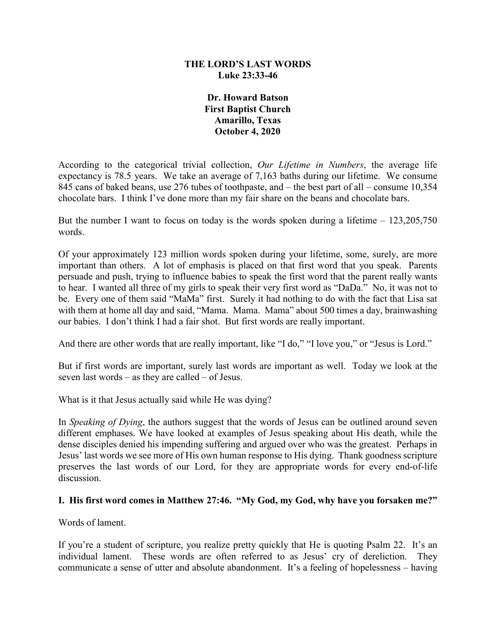#### **THE LORD'S LAST WORDS Luke 23:33-46**

**Dr. Howard Batson First Baptist Church Amarillo, Texas October 4, 2020**

According to the categorical trivial collection, *Our Lifetime in Numbers*, the average life expectancy is 78.5 years. We take an average of 7,163 baths during our lifetime. We consume 845 cans of baked beans, use 276 tubes of toothpaste, and – the best part of all – consume 10,354 chocolate bars. I think I've done more than my fair share on the beans and chocolate bars.

But the number I want to focus on today is the words spoken during a lifetime  $-123,205,750$ words.

Of your approximately 123 million words spoken during your lifetime, some, surely, are more important than others. A lot of emphasis is placed on that first word that you speak. Parents persuade and push, trying to influence babies to speak the first word that the parent really wants to hear. I wanted all three of my girls to speak their very first word as "DaDa." No, it was not to be. Every one of them said "MaMa" first. Surely it had nothing to do with the fact that Lisa sat with them at home all day and said, "Mama. Mama. Mama" about 500 times a day, brainwashing our babies. I don't think I had a fair shot. But first words are really important.

And there are other words that are really important, like "I do," "I love you," or "Jesus is Lord."

But if first words are important, surely last words are important as well. Today we look at the seven last words – as they are called – of Jesus.

What is it that Jesus actually said while He was dying?

In *Speaking of Dying*, the authors suggest that the words of Jesus can be outlined around seven different emphases. We have looked at examples of Jesus speaking about His death, while the dense disciples denied his impending suffering and argued over who was the greatest. Perhaps in Jesus' last words we see more of His own human response to His dying. Thank goodness scripture preserves the last words of our Lord, for they are appropriate words for every end-of-life discussion.

#### **I. His first word comes in Matthew 27:46. "My God, my God, why have you forsaken me?"**

Words of lament.

If you're a student of scripture, you realize pretty quickly that He is quoting Psalm 22. It's an individual lament. These words are often referred to as Jesus' cry of dereliction. They communicate a sense of utter and absolute abandonment. It's a feeling of hopelessness – having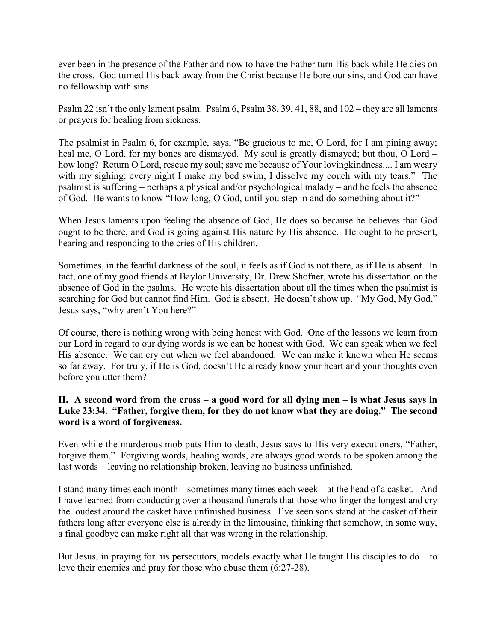ever been in the presence of the Father and now to have the Father turn His back while He dies on the cross. God turned His back away from the Christ because He bore our sins, and God can have no fellowship with sins.

Psalm 22 isn't the only lament psalm. Psalm 6, Psalm 38, 39, 41, 88, and 102 – they are all laments or prayers for healing from sickness.

The psalmist in Psalm 6, for example, says, "Be gracious to me, O Lord, for I am pining away; heal me, O Lord, for my bones are dismayed. My soul is greatly dismayed; but thou, O Lord – how long? Return O Lord, rescue my soul; save me because of Your lovingkindness.... I am weary with my sighing; every night I make my bed swim, I dissolve my couch with my tears." The psalmist is suffering – perhaps a physical and/or psychological malady – and he feels the absence of God. He wants to know "How long, O God, until you step in and do something about it?"

When Jesus laments upon feeling the absence of God, He does so because he believes that God ought to be there, and God is going against His nature by His absence. He ought to be present, hearing and responding to the cries of His children.

Sometimes, in the fearful darkness of the soul, it feels as if God is not there, as if He is absent. In fact, one of my good friends at Baylor University, Dr. Drew Shofner, wrote his dissertation on the absence of God in the psalms. He wrote his dissertation about all the times when the psalmist is searching for God but cannot find Him. God is absent. He doesn't show up. "My God, My God," Jesus says, "why aren't You here?"

Of course, there is nothing wrong with being honest with God. One of the lessons we learn from our Lord in regard to our dying words is we can be honest with God. We can speak when we feel His absence. We can cry out when we feel abandoned. We can make it known when He seems so far away. For truly, if He is God, doesn't He already know your heart and your thoughts even before you utter them?

## **II. A second word from the cross – a good word for all dying men – is what Jesus says in Luke 23:34. "Father, forgive them, for they do not know what they are doing." The second word is a word of forgiveness.**

Even while the murderous mob puts Him to death, Jesus says to His very executioners, "Father, forgive them." Forgiving words, healing words, are always good words to be spoken among the last words – leaving no relationship broken, leaving no business unfinished.

I stand many times each month – sometimes many times each week – at the head of a casket. And I have learned from conducting over a thousand funerals that those who linger the longest and cry the loudest around the casket have unfinished business. I've seen sons stand at the casket of their fathers long after everyone else is already in the limousine, thinking that somehow, in some way, a final goodbye can make right all that was wrong in the relationship.

But Jesus, in praying for his persecutors, models exactly what He taught His disciples to do – to love their enemies and pray for those who abuse them (6:27-28).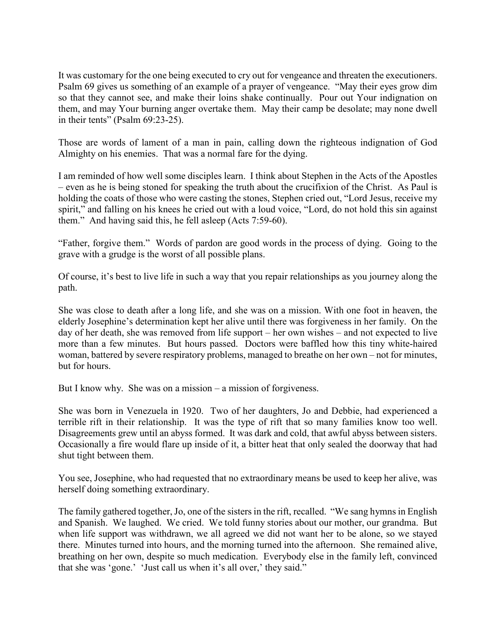It was customary for the one being executed to cry out for vengeance and threaten the executioners. Psalm 69 gives us something of an example of a prayer of vengeance. "May their eyes grow dim so that they cannot see, and make their loins shake continually. Pour out Your indignation on them, and may Your burning anger overtake them. May their camp be desolate; may none dwell in their tents" (Psalm 69:23-25).

Those are words of lament of a man in pain, calling down the righteous indignation of God Almighty on his enemies. That was a normal fare for the dying.

I am reminded of how well some disciples learn. I think about Stephen in the Acts of the Apostles – even as he is being stoned for speaking the truth about the crucifixion of the Christ. As Paul is holding the coats of those who were casting the stones, Stephen cried out, "Lord Jesus, receive my spirit," and falling on his knees he cried out with a loud voice, "Lord, do not hold this sin against them." And having said this, he fell asleep (Acts 7:59-60).

"Father, forgive them." Words of pardon are good words in the process of dying. Going to the grave with a grudge is the worst of all possible plans.

Of course, it's best to live life in such a way that you repair relationships as you journey along the path.

She was close to death after a long life, and she was on a mission. With one foot in heaven, the elderly Josephine's determination kept her alive until there was forgiveness in her family. On the day of her death, she was removed from life support – her own wishes – and not expected to live more than a few minutes. But hours passed. Doctors were baffled how this tiny white-haired woman, battered by severe respiratory problems, managed to breathe on her own – not for minutes, but for hours.

But I know why. She was on a mission – a mission of forgiveness.

She was born in Venezuela in 1920. Two of her daughters, Jo and Debbie, had experienced a terrible rift in their relationship. It was the type of rift that so many families know too well. Disagreements grew until an abyss formed. It was dark and cold, that awful abyss between sisters. Occasionally a fire would flare up inside of it, a bitter heat that only sealed the doorway that had shut tight between them.

You see, Josephine, who had requested that no extraordinary means be used to keep her alive, was herself doing something extraordinary.

The family gathered together, Jo, one of the sisters in the rift, recalled. "We sang hymns in English and Spanish. We laughed. We cried. We told funny stories about our mother, our grandma. But when life support was withdrawn, we all agreed we did not want her to be alone, so we stayed there. Minutes turned into hours, and the morning turned into the afternoon. She remained alive, breathing on her own, despite so much medication. Everybody else in the family left, convinced that she was 'gone.' 'Just call us when it's all over,' they said."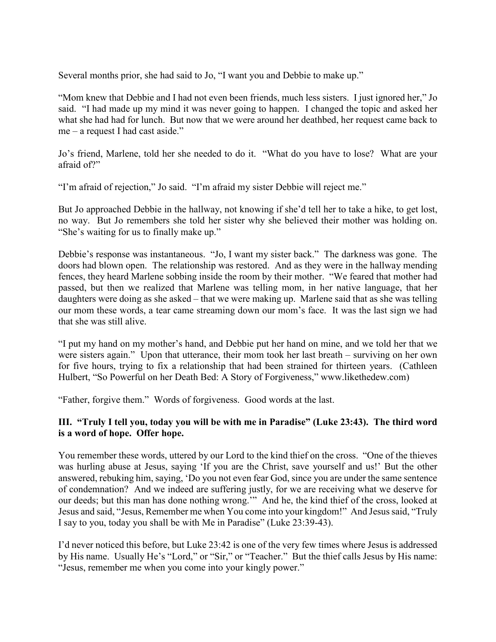Several months prior, she had said to Jo, "I want you and Debbie to make up."

"Mom knew that Debbie and I had not even been friends, much less sisters. I just ignored her," Jo said. "I had made up my mind it was never going to happen. I changed the topic and asked her what she had had for lunch. But now that we were around her deathbed, her request came back to me – a request I had cast aside."

Jo's friend, Marlene, told her she needed to do it. "What do you have to lose? What are your afraid of?"

"I'm afraid of rejection," Jo said. "I'm afraid my sister Debbie will reject me."

But Jo approached Debbie in the hallway, not knowing if she'd tell her to take a hike, to get lost, no way. But Jo remembers she told her sister why she believed their mother was holding on. "She's waiting for us to finally make up."

Debbie's response was instantaneous. "Jo, I want my sister back." The darkness was gone. The doors had blown open. The relationship was restored. And as they were in the hallway mending fences, they heard Marlene sobbing inside the room by their mother. "We feared that mother had passed, but then we realized that Marlene was telling mom, in her native language, that her daughters were doing as she asked – that we were making up. Marlene said that as she was telling our mom these words, a tear came streaming down our mom's face. It was the last sign we had that she was still alive.

"I put my hand on my mother's hand, and Debbie put her hand on mine, and we told her that we were sisters again." Upon that utterance, their mom took her last breath – surviving on her own for five hours, trying to fix a relationship that had been strained for thirteen years. (Cathleen Hulbert, "So Powerful on her Death Bed: A Story of Forgiveness," www.likethedew.com)

"Father, forgive them." Words of forgiveness. Good words at the last.

## **III. "Truly I tell you, today you will be with me in Paradise" (Luke 23:43). The third word is a word of hope. Offer hope.**

You remember these words, uttered by our Lord to the kind thief on the cross. "One of the thieves was hurling abuse at Jesus, saying 'If you are the Christ, save yourself and us!' But the other answered, rebuking him, saying, 'Do you not even fear God, since you are under the same sentence of condemnation? And we indeed are suffering justly, for we are receiving what we deserve for our deeds; but this man has done nothing wrong.'" And he, the kind thief of the cross, looked at Jesus and said, "Jesus, Remember me when You come into your kingdom!" And Jesus said, "Truly I say to you, today you shall be with Me in Paradise" (Luke 23:39-43).

I'd never noticed this before, but Luke 23:42 is one of the very few times where Jesus is addressed by His name. Usually He's "Lord," or "Sir," or "Teacher." But the thief calls Jesus by His name: "Jesus, remember me when you come into your kingly power."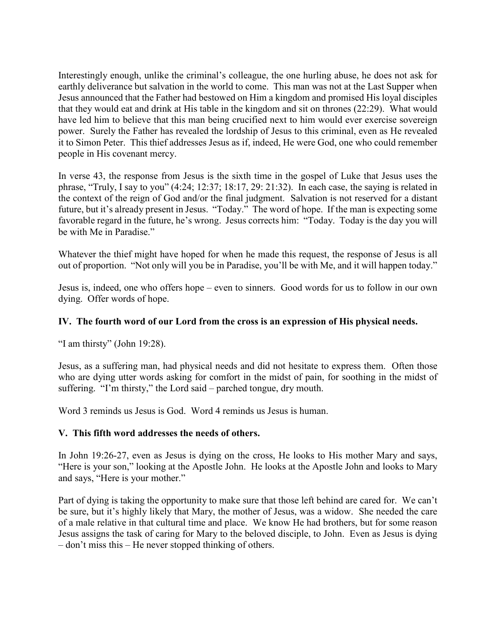Interestingly enough, unlike the criminal's colleague, the one hurling abuse, he does not ask for earthly deliverance but salvation in the world to come. This man was not at the Last Supper when Jesus announced that the Father had bestowed on Him a kingdom and promised His loyal disciples that they would eat and drink at His table in the kingdom and sit on thrones (22:29). What would have led him to believe that this man being crucified next to him would ever exercise sovereign power. Surely the Father has revealed the lordship of Jesus to this criminal, even as He revealed it to Simon Peter. This thief addresses Jesus as if, indeed, He were God, one who could remember people in His covenant mercy.

In verse 43, the response from Jesus is the sixth time in the gospel of Luke that Jesus uses the phrase, "Truly, I say to you" (4:24; 12:37; 18:17, 29: 21:32). In each case, the saying is related in the context of the reign of God and/or the final judgment. Salvation is not reserved for a distant future, but it's already present in Jesus. "Today." The word of hope. If the man is expecting some favorable regard in the future, he's wrong. Jesus corrects him: "Today. Today is the day you will be with Me in Paradise."

Whatever the thief might have hoped for when he made this request, the response of Jesus is all out of proportion. "Not only will you be in Paradise, you'll be with Me, and it will happen today."

Jesus is, indeed, one who offers hope – even to sinners. Good words for us to follow in our own dying. Offer words of hope.

## **IV. The fourth word of our Lord from the cross is an expression of His physical needs.**

"I am thirsty" (John 19:28).

Jesus, as a suffering man, had physical needs and did not hesitate to express them. Often those who are dying utter words asking for comfort in the midst of pain, for soothing in the midst of suffering. "I'm thirsty," the Lord said – parched tongue, dry mouth.

Word 3 reminds us Jesus is God. Word 4 reminds us Jesus is human.

#### **V. This fifth word addresses the needs of others.**

In John 19:26-27, even as Jesus is dying on the cross, He looks to His mother Mary and says, "Here is your son," looking at the Apostle John. He looks at the Apostle John and looks to Mary and says, "Here is your mother."

Part of dying is taking the opportunity to make sure that those left behind are cared for. We can't be sure, but it's highly likely that Mary, the mother of Jesus, was a widow. She needed the care of a male relative in that cultural time and place. We know He had brothers, but for some reason Jesus assigns the task of caring for Mary to the beloved disciple, to John. Even as Jesus is dying – don't miss this – He never stopped thinking of others.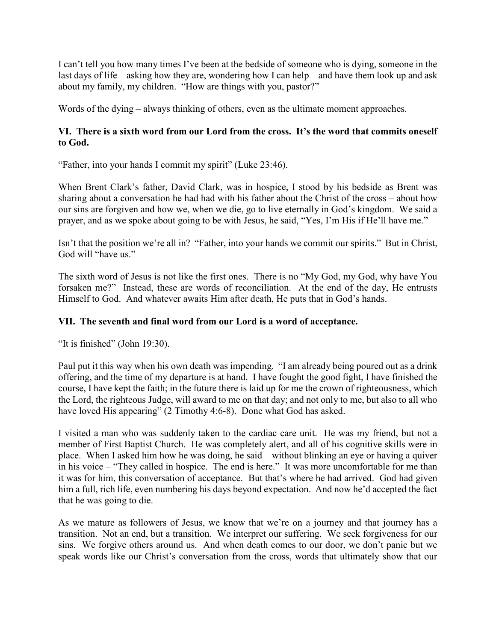I can't tell you how many times I've been at the bedside of someone who is dying, someone in the last days of life – asking how they are, wondering how I can help – and have them look up and ask about my family, my children. "How are things with you, pastor?"

Words of the dying – always thinking of others, even as the ultimate moment approaches.

## **VI. There is a sixth word from our Lord from the cross. It's the word that commits oneself to God.**

"Father, into your hands I commit my spirit" (Luke 23:46).

When Brent Clark's father, David Clark, was in hospice, I stood by his bedside as Brent was sharing about a conversation he had had with his father about the Christ of the cross – about how our sins are forgiven and how we, when we die, go to live eternally in God's kingdom. We said a prayer, and as we spoke about going to be with Jesus, he said, "Yes, I'm His if He'll have me."

Isn't that the position we're all in? "Father, into your hands we commit our spirits." But in Christ, God will "have us."

The sixth word of Jesus is not like the first ones. There is no "My God, my God, why have You forsaken me?" Instead, these are words of reconciliation. At the end of the day, He entrusts Himself to God. And whatever awaits Him after death, He puts that in God's hands.

# **VII. The seventh and final word from our Lord is a word of acceptance.**

"It is finished" (John 19:30).

Paul put it this way when his own death was impending. "I am already being poured out as a drink offering, and the time of my departure is at hand. I have fought the good fight, I have finished the course, I have kept the faith; in the future there is laid up for me the crown of righteousness, which the Lord, the righteous Judge, will award to me on that day; and not only to me, but also to all who have loved His appearing" (2 Timothy 4:6-8). Done what God has asked.

I visited a man who was suddenly taken to the cardiac care unit. He was my friend, but not a member of First Baptist Church. He was completely alert, and all of his cognitive skills were in place. When I asked him how he was doing, he said – without blinking an eye or having a quiver in his voice – "They called in hospice. The end is here." It was more uncomfortable for me than it was for him, this conversation of acceptance. But that's where he had arrived. God had given him a full, rich life, even numbering his days beyond expectation. And now he'd accepted the fact that he was going to die.

As we mature as followers of Jesus, we know that we're on a journey and that journey has a transition. Not an end, but a transition. We interpret our suffering. We seek forgiveness for our sins. We forgive others around us. And when death comes to our door, we don't panic but we speak words like our Christ's conversation from the cross, words that ultimately show that our